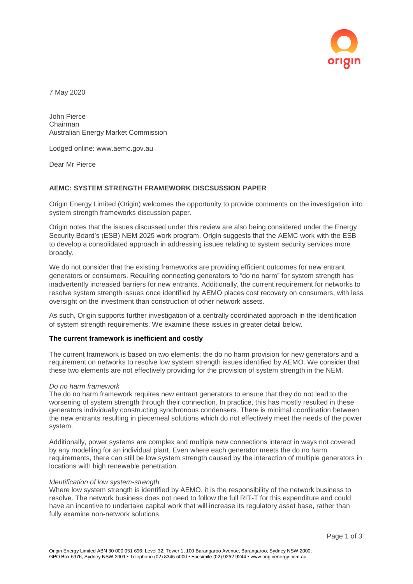

7 May 2020

John Pierce Chairman Australian Energy Market Commission

Lodged online: www.aemc.gov.au

Dear Mr Pierce

# **AEMC: SYSTEM STRENGTH FRAMEWORK DISCSUSSION PAPER**

Origin Energy Limited (Origin) welcomes the opportunity to provide comments on the investigation into system strength frameworks discussion paper.

Origin notes that the issues discussed under this review are also being considered under the Energy Security Board's (ESB) NEM 2025 work program. Origin suggests that the AEMC work with the ESB to develop a consolidated approach in addressing issues relating to system security services more broadly.

We do not consider that the existing frameworks are providing efficient outcomes for new entrant generators or consumers. Requiring connecting generators to "do no harm" for system strength has inadvertently increased barriers for new entrants. Additionally, the current requirement for networks to resolve system strength issues once identified by AEMO places cost recovery on consumers, with less oversight on the investment than construction of other network assets.

As such, Origin supports further investigation of a centrally coordinated approach in the identification of system strength requirements. We examine these issues in greater detail below.

### **The current framework is inefficient and costly**

The current framework is based on two elements; the do no harm provision for new generators and a requirement on networks to resolve low system strength issues identified by AEMO. We consider that these two elements are not effectively providing for the provision of system strength in the NEM.

### *Do no harm framework*

The do no harm framework requires new entrant generators to ensure that they do not lead to the worsening of system strength through their connection. In practice, this has mostly resulted in these generators individually constructing synchronous condensers. There is minimal coordination between the new entrants resulting in piecemeal solutions which do not effectively meet the needs of the power system.

Additionally, power systems are complex and multiple new connections interact in ways not covered by any modelling for an individual plant. Even where each generator meets the do no harm requirements, there can still be low system strength caused by the interaction of multiple generators in locations with high renewable penetration.

#### *Identification of low system-strength*

Where low system strength is identified by AEMO, it is the responsibility of the network business to resolve. The network business does not need to follow the full RIT-T for this expenditure and could have an incentive to undertake capital work that will increase its regulatory asset base, rather than fully examine non-network solutions.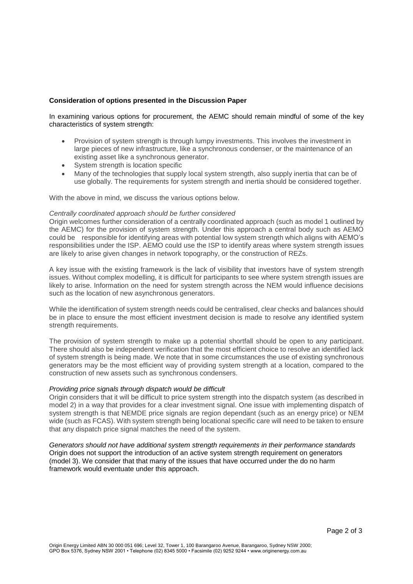# **Consideration of options presented in the Discussion Paper**

In examining various options for procurement, the AEMC should remain mindful of some of the key characteristics of system strength:

- Provision of system strength is through lumpy investments. This involves the investment in large pieces of new infrastructure, like a synchronous condenser, or the maintenance of an existing asset like a synchronous generator.
- System strength is location specific
- Many of the technologies that supply local system strength, also supply inertia that can be of use globally. The requirements for system strength and inertia should be considered together.

With the above in mind, we discuss the various options below.

## *Centrally coordinated approach should be further considered*

Origin welcomes further consideration of a centrally coordinated approach (such as model 1 outlined by the AEMC) for the provision of system strength. Under this approach a central body such as AEMO could be responsible for identifying areas with potential low system strength which aligns with AEMO's responsibilities under the ISP. AEMO could use the ISP to identify areas where system strength issues are likely to arise given changes in network topography, or the construction of REZs.

A key issue with the existing framework is the lack of visibility that investors have of system strength issues. Without complex modelling, it is difficult for participants to see where system strength issues are likely to arise. Information on the need for system strength across the NEM would influence decisions such as the location of new asynchronous generators.

While the identification of system strength needs could be centralised, clear checks and balances should be in place to ensure the most efficient investment decision is made to resolve any identified system strength requirements.

The provision of system strength to make up a potential shortfall should be open to any participant. There should also be independent verification that the most efficient choice to resolve an identified lack of system strength is being made. We note that in some circumstances the use of existing synchronous generators may be the most efficient way of providing system strength at a location, compared to the construction of new assets such as synchronous condensers.

#### *Providing price signals through dispatch would be difficult*

Origin considers that it will be difficult to price system strength into the dispatch system (as described in model 2) in a way that provides for a clear investment signal. One issue with implementing dispatch of system strength is that NEMDE price signals are region dependant (such as an energy price) or NEM wide (such as FCAS). With system strength being locational specific care will need to be taken to ensure that any dispatch price signal matches the need of the system.

*Generators should not have additional system strength requirements in their performance standards* Origin does not support the introduction of an active system strength requirement on generators (model 3). We consider that that many of the issues that have occurred under the do no harm framework would eventuate under this approach.